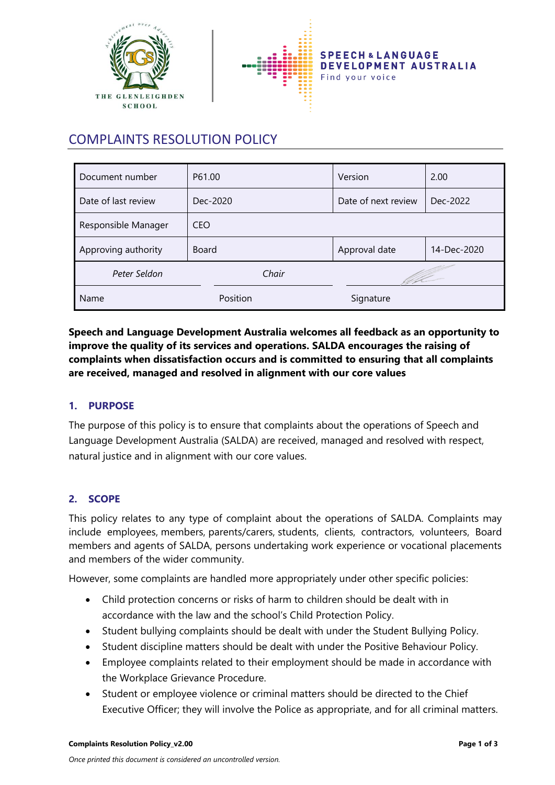

# COMPLAINTS RESOLUTION POLICY

| Document number     | P61.00       | Version             | 2.00        |
|---------------------|--------------|---------------------|-------------|
| Date of last review | Dec-2020     | Date of next review | Dec-2022    |
| Responsible Manager | <b>CEO</b>   |                     |             |
| Approving authority | <b>Board</b> | Approval date       | 14-Dec-2020 |
| Peter Seldon        | Chair        |                     |             |
| Name                | Position     | Signature           |             |

**Speech and Language Development Australia welcomes all feedback as an opportunity to improve the quality of its services and operations. SALDA encourages the raising of complaints when dissatisfaction occurs and is committed to ensuring that all complaints are received, managed and resolved in alignment with our core values**

## **1. PURPOSE**

The purpose of this policy is to ensure that complaints about the operations of Speech and Language Development Australia (SALDA) are received, managed and resolved with respect, natural justice and in alignment with our core values.

#### **2. SCOPE**

This policy relates to any type of complaint about the operations of SALDA. Complaints may include employees, members, parents/carers, students, clients, contractors, volunteers, Board members and agents of SALDA, persons undertaking work experience or vocational placements and members of the wider community.

However, some complaints are handled more appropriately under other specific policies:

- Child protection concerns or risks of harm to children should be dealt with in accordance with the law and the school's Child Protection Policy.
- Student bullying complaints should be dealt with under the Student Bullying Policy.
- Student discipline matters should be dealt with under the Positive Behaviour Policy.
- Employee complaints related to their employment should be made in accordance with the Workplace Grievance Procedure.
- Student or employee violence or criminal matters should be directed to the Chief Executive Officer; they will involve the Police as appropriate, and for all criminal matters.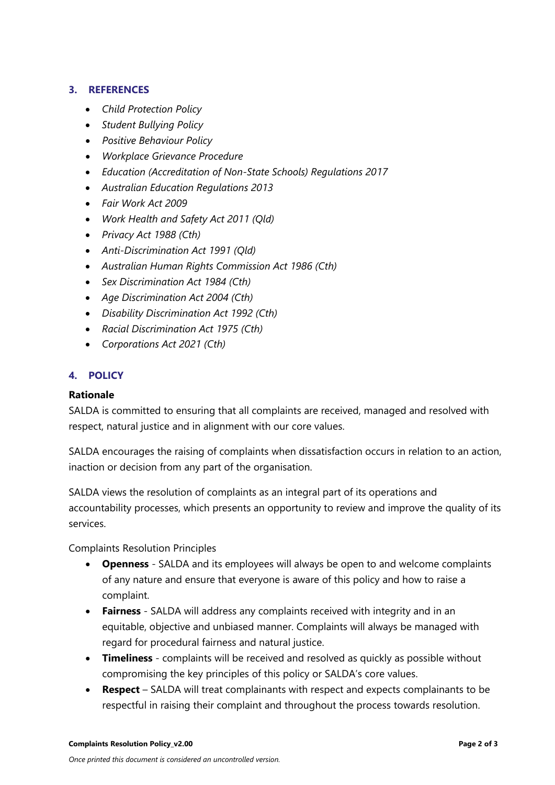## **3. REFERENCES**

- *Child Protection Policy*
- *Student Bullying Policy*
- *Positive Behaviour Policy*
- *Workplace Grievance Procedure*
- *[Education \(Accreditation of Non-State Schools\) Regulations 2017](https://www.legislation.qld.gov.au/LEGISLTN/CURRENT/E/EducAccNSSR01.pdf)*
- *[Australian Education Regulations 2013](http://www.comlaw.gov.au/Details/F2013L01476)*
- *[Fair Work Act 2009](http://www.comlaw.gov.au/Details/C2014C00031/Html/Volume_1#_Toc377043680)*
- *[Work Health and Safety Act 2011 \(Qld\)](https://www.legislation.qld.gov.au/LEGISLTN/CURRENT/W/WorkHSA11.pdf)*
- *[Privacy Act 1988 \(Cth\)](http://www.comlaw.gov.au/Details/C2014C00076)*
- *[Anti-Discrimination Act 1991 \(Qld\)](https://www.legislation.qld.gov.au/LEGISLTN/CURRENT/A/AntiDiscrimA91.pdf)*
- *[Australian Human Rights Commission Act 1986 \(Cth\)](http://www.comlaw.gov.au/Series/C2004A03366)*
- *[Sex Discrimination Act 1984 \(Cth\)](http://www.comlaw.gov.au/Series/C2004A02868)*
- *[Age Discrimination Act 2004 \(Cth\)](http://www.comlaw.gov.au/Series/C2004A01302)*
- *[Disability Discrimination Act 1992 \(Cth\)](http://www.comlaw.gov.au/Series/C2004A04426)*
- *[Racial Discrimination Act 1975 \(Cth\)](http://www.comlaw.gov.au/Series/C2004A00274)*
- *Corporations Act 2021 (Cth)*

## **4. POLICY**

#### **Rationale**

SALDA is committed to ensuring that all complaints are received, managed and resolved with respect, natural justice and in alignment with our core values.

SALDA encourages the raising of complaints when dissatisfaction occurs in relation to an action, inaction or decision from any part of the organisation.

SALDA views the resolution of complaints as an integral part of its operations and accountability processes, which presents an opportunity to review and improve the quality of its services.

Complaints Resolution Principles

- **Openness** SALDA and its employees will always be open to and welcome complaints of any nature and ensure that everyone is aware of this policy and how to raise a complaint.
- **Fairness** SALDA will address any complaints received with integrity and in an equitable, objective and unbiased manner. Complaints will always be managed with regard for procedural fairness and natural justice.
- **Timeliness** complaints will be received and resolved as quickly as possible without compromising the key principles of this policy or SALDA's core values.
- **Respect** SALDA will treat complainants with respect and expects complainants to be respectful in raising their complaint and throughout the process towards resolution.